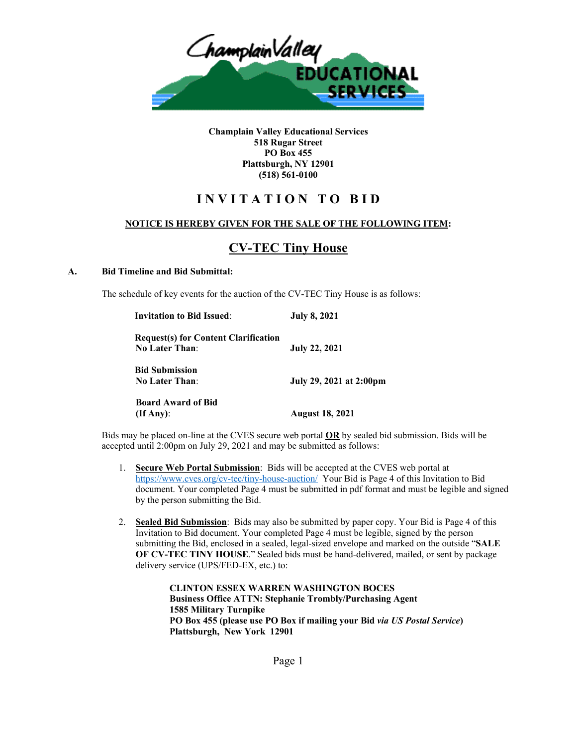

**Champlain Valley Educational Services 518 Rugar Street PO Box 455 Plattsburgh, NY 12901 (518) 561-0100**

# **I N V I T A T I O N T O B I D**

### **NOTICE IS HEREBY GIVEN FOR THE SALE OF THE FOLLOWING ITEM:**

# **CV-TEC Tiny House**

#### **A. Bid Timeline and Bid Submittal:**

The schedule of key events for the auction of the CV-TEC Tiny House is as follows:

| <b>Invitation to Bid Issued:</b>            | <b>July 8, 2021</b>     |
|---------------------------------------------|-------------------------|
| <b>Request(s) for Content Clarification</b> |                         |
| <b>No Later Than:</b>                       | <b>July 22, 2021</b>    |
| <b>Bid Submission</b>                       |                         |
| <b>No Later Than:</b>                       | July 29, 2021 at 2:00pm |
| <b>Board Award of Bid</b>                   |                         |
| $($ If Any $)$ :                            | <b>August 18, 2021</b>  |

Bids may be placed on-line at the CVES secure web portal **OR** by sealed bid submission. Bids will be accepted until 2:00pm on July 29, 2021 and may be submitted as follows:

- 1. **Secure Web Portal Submission**: Bids will be accepted at the CVES web portal at <https://www.cves.org/cv-tec/tiny-house-auction/> Your Bid is Page 4 of this Invitation to Bid document. Your completed Page 4 must be submitted in pdf format and must be legible and signed by the person submitting the Bid.
- 2. **Sealed Bid Submission**: Bids may also be submitted by paper copy. Your Bid is Page 4 of this Invitation to Bid document. Your completed Page 4 must be legible, signed by the person submitting the Bid, enclosed in a sealed, legal-sized envelope and marked on the outside "**SALE OF CV-TEC TINY HOUSE**." Sealed bids must be hand-delivered, mailed, or sent by package delivery service (UPS/FED-EX, etc.) to:

**CLINTON ESSEX WARREN WASHINGTON BOCES Business Office ATTN: Stephanie Trombly/Purchasing Agent 1585 Military Turnpike PO Box 455 (please use PO Box if mailing your Bid** *via US Postal Service***) Plattsburgh, New York 12901**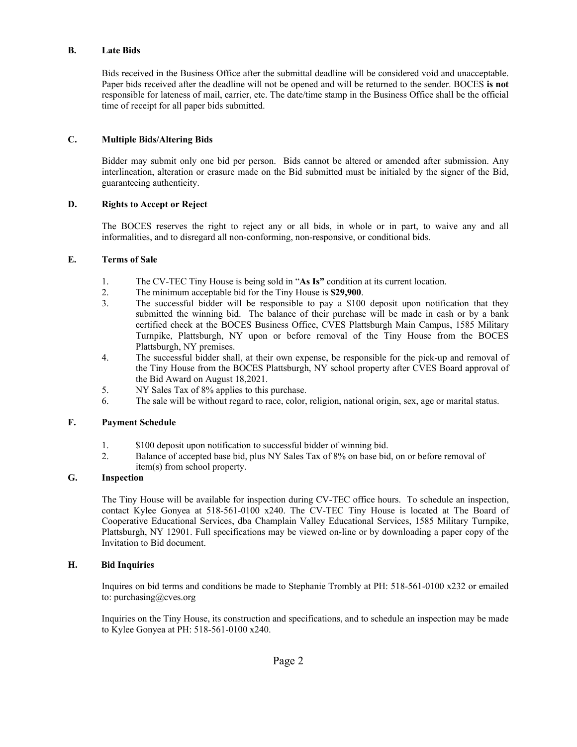#### **B. Late Bids**

Bids received in the Business Office after the submittal deadline will be considered void and unacceptable. Paper bids received after the deadline will not be opened and will be returned to the sender. BOCES **is not** responsible for lateness of mail, carrier, etc. The date/time stamp in the Business Office shall be the official time of receipt for all paper bids submitted.

## **C. Multiple Bids/Altering Bids**

Bidder may submit only one bid per person. Bids cannot be altered or amended after submission. Any interlineation, alteration or erasure made on the Bid submitted must be initialed by the signer of the Bid, guaranteeing authenticity.

### **D. Rights to Accept or Reject**

The BOCES reserves the right to reject any or all bids, in whole or in part, to waive any and all informalities, and to disregard all non-conforming, non-responsive, or conditional bids.

#### **E. Terms of Sale**

- 1. The CV-TEC Tiny House is being sold in "**As Is"** condition at its current location.
- 2. The minimum acceptable bid for the Tiny House is **\$29,900**.
- 3. The successful bidder will be responsible to pay a \$100 deposit upon notification that they submitted the winning bid. The balance of their purchase will be made in cash or by a bank certified check at the BOCES Business Office, CVES Plattsburgh Main Campus, 1585 Military Turnpike, Plattsburgh, NY upon or before removal of the Tiny House from the BOCES Plattsburgh, NY premises.
- 4. The successful bidder shall, at their own expense, be responsible for the pick-up and removal of the Tiny House from the BOCES Plattsburgh, NY school property after CVES Board approval of the Bid Award on August 18,2021.
- 5. NY Sales Tax of 8% applies to this purchase.
- 6. The sale will be without regard to race, color, religion, national origin, sex, age or marital status.

#### **F. Payment Schedule**

- 1. \$100 deposit upon notification to successful bidder of winning bid.
- 2. Balance of accepted base bid, plus NY Sales Tax of 8% on base bid, on or before removal of item(s) from school property.

## **G. Inspection**

The Tiny House will be available for inspection during CV-TEC office hours. To schedule an inspection, contact Kylee Gonyea at 518-561-0100 x240. The CV-TEC Tiny House is located at The Board of Cooperative Educational Services, dba Champlain Valley Educational Services, 1585 Military Turnpike, Plattsburgh, NY 12901. Full specifications may be viewed on-line or by downloading a paper copy of the Invitation to Bid document.

#### **H. Bid Inquiries**

Inquires on bid terms and conditions be made to Stephanie Trombly at PH: 518-561-0100 x232 or emailed to: purchasing@cves.org

Inquiries on the Tiny House, its construction and specifications, and to schedule an inspection may be made to Kylee Gonyea at PH: 518-561-0100 x240.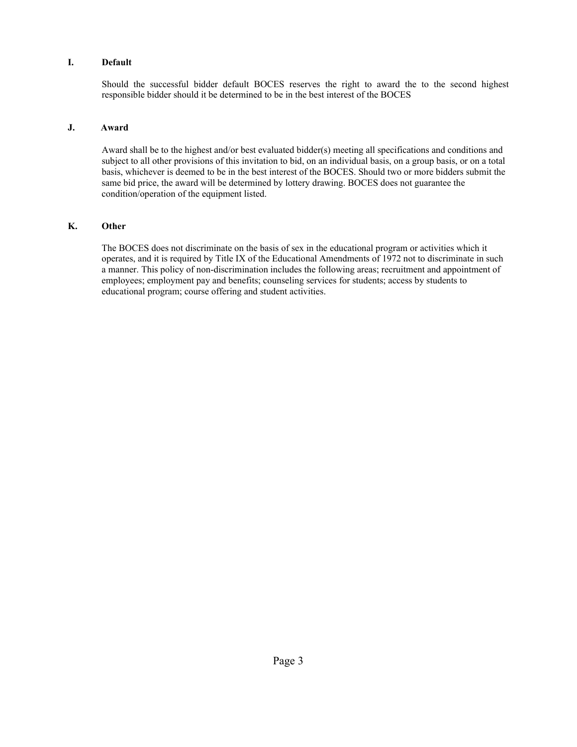#### **I. Default**

Should the successful bidder default BOCES reserves the right to award the to the second highest responsible bidder should it be determined to be in the best interest of the BOCES

#### **J. Award**

Award shall be to the highest and/or best evaluated bidder(s) meeting all specifications and conditions and subject to all other provisions of this invitation to bid, on an individual basis, on a group basis, or on a total basis, whichever is deemed to be in the best interest of the BOCES. Should two or more bidders submit the same bid price, the award will be determined by lottery drawing. BOCES does not guarantee the condition/operation of the equipment listed.

#### **K. Other**

The BOCES does not discriminate on the basis of sex in the educational program or activities which it operates, and it is required by Title IX of the Educational Amendments of 1972 not to discriminate in such a manner. This policy of non-discrimination includes the following areas; recruitment and appointment of employees; employment pay and benefits; counseling services for students; access by students to educational program; course offering and student activities.